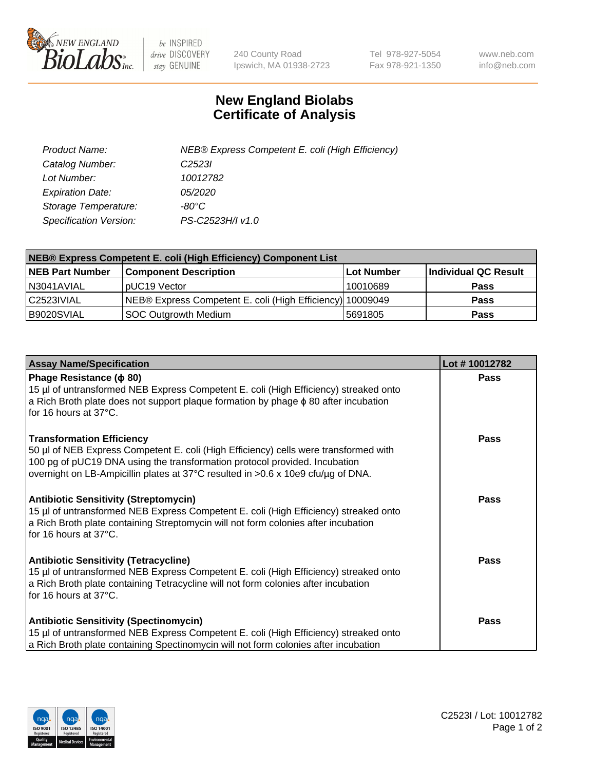

 $be$  INSPIRED drive DISCOVERY stay GENUINE

240 County Road Ipswich, MA 01938-2723 Tel 978-927-5054 Fax 978-921-1350 www.neb.com info@neb.com

## **New England Biolabs Certificate of Analysis**

| Product Name:           | NEB® Express Competent E. coli (High Efficiency) |
|-------------------------|--------------------------------------------------|
| Catalog Number:         | C <sub>2523</sub>                                |
| Lot Number:             | 10012782                                         |
| <b>Expiration Date:</b> | <i>05/2020</i>                                   |
| Storage Temperature:    | -80°C                                            |
| Specification Version:  | PS-C2523H/I v1.0                                 |

| NEB® Express Competent E. coli (High Efficiency) Component List |                                                           |            |                      |  |
|-----------------------------------------------------------------|-----------------------------------------------------------|------------|----------------------|--|
| <b>NEB Part Number</b>                                          | <b>Component Description</b>                              | Lot Number | Individual QC Result |  |
| N3041AVIAL                                                      | pUC19 Vector                                              | 10010689   | <b>Pass</b>          |  |
| C2523IVIAL                                                      | NEB® Express Competent E. coli (High Efficiency) 10009049 |            | <b>Pass</b>          |  |
| B9020SVIAL                                                      | <b>SOC Outgrowth Medium</b>                               | 5691805    | <b>Pass</b>          |  |

| <b>Assay Name/Specification</b>                                                                                                                                                                                                                                                            | Lot #10012782 |
|--------------------------------------------------------------------------------------------------------------------------------------------------------------------------------------------------------------------------------------------------------------------------------------------|---------------|
| Phage Resistance ( $\phi$ 80)<br>15 µl of untransformed NEB Express Competent E. coli (High Efficiency) streaked onto<br>a Rich Broth plate does not support plaque formation by phage $\phi$ 80 after incubation<br>for 16 hours at 37°C.                                                 | <b>Pass</b>   |
| <b>Transformation Efficiency</b><br>50 µl of NEB Express Competent E. coli (High Efficiency) cells were transformed with<br>100 pg of pUC19 DNA using the transformation protocol provided. Incubation<br>overnight on LB-Ampicillin plates at 37°C resulted in >0.6 x 10e9 cfu/µg of DNA. | <b>Pass</b>   |
| <b>Antibiotic Sensitivity (Streptomycin)</b><br>15 µl of untransformed NEB Express Competent E. coli (High Efficiency) streaked onto<br>a Rich Broth plate containing Streptomycin will not form colonies after incubation<br>for 16 hours at 37°C.                                        | Pass          |
| <b>Antibiotic Sensitivity (Tetracycline)</b><br>15 µl of untransformed NEB Express Competent E. coli (High Efficiency) streaked onto<br>a Rich Broth plate containing Tetracycline will not form colonies after incubation<br>for 16 hours at 37°C.                                        | Pass          |
| <b>Antibiotic Sensitivity (Spectinomycin)</b><br>15 µl of untransformed NEB Express Competent E. coli (High Efficiency) streaked onto<br>a Rich Broth plate containing Spectinomycin will not form colonies after incubation                                                               | Pass          |